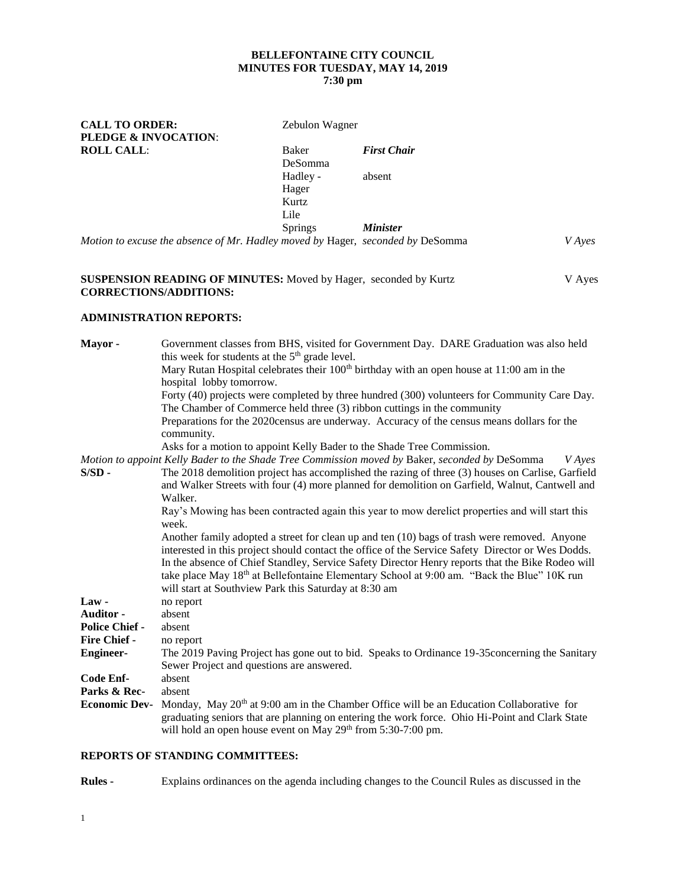# **BELLEFONTAINE CITY COUNCIL MINUTES FOR TUESDAY, MAY 14, 2019**

# **7:30 pm**

| <b>CALL TO ORDER:</b>                                                          | Zebulon Wagner |                    |        |  |  |
|--------------------------------------------------------------------------------|----------------|--------------------|--------|--|--|
| <b>PLEDGE &amp; INVOCATION:</b>                                                |                |                    |        |  |  |
| <b>ROLL CALL:</b>                                                              | Baker          | <b>First Chair</b> |        |  |  |
|                                                                                | DeSomma        |                    |        |  |  |
|                                                                                | Hadley -       | absent             |        |  |  |
|                                                                                | Hager          |                    |        |  |  |
|                                                                                | Kurtz          |                    |        |  |  |
|                                                                                | Lile           |                    |        |  |  |
|                                                                                | <b>Springs</b> | <b>Minister</b>    |        |  |  |
| Motion to excuse the absence of Mr. Hadley moved by Hager, seconded by DeSomma |                |                    | V Aves |  |  |

### **SUSPENSION READING OF MINUTES:** Moved by Hager, seconded by Kurtz V Ayes **CORRECTIONS/ADDITIONS:**

## **ADMINISTRATION REPORTS:**

| Mayor-                | Government classes from BHS, visited for Government Day. DARE Graduation was also held                          |
|-----------------------|-----------------------------------------------------------------------------------------------------------------|
|                       | this week for students at the 5 <sup>th</sup> grade level.                                                      |
|                       | Mary Rutan Hospital celebrates their 100 <sup>th</sup> birthday with an open house at 11:00 am in the           |
|                       | hospital lobby tomorrow.                                                                                        |
|                       | Forty (40) projects were completed by three hundred (300) volunteers for Community Care Day.                    |
|                       | The Chamber of Commerce held three (3) ribbon cuttings in the community                                         |
|                       | Preparations for the 2020 census are underway. Accuracy of the census means dollars for the<br>community.       |
|                       | Asks for a motion to appoint Kelly Bader to the Shade Tree Commission.                                          |
|                       | Motion to appoint Kelly Bader to the Shade Tree Commission moved by Baker, seconded by DeSomma<br><b>V</b> Ayes |
| $S/SD -$              | The 2018 demolition project has accomplished the razing of three (3) houses on Carlise, Garfield                |
|                       | and Walker Streets with four (4) more planned for demolition on Garfield, Walnut, Cantwell and                  |
|                       | Walker.                                                                                                         |
|                       | Ray's Mowing has been contracted again this year to mow derelict properties and will start this                 |
|                       | week.                                                                                                           |
|                       | Another family adopted a street for clean up and ten (10) bags of trash were removed. Anyone                    |
|                       | interested in this project should contact the office of the Service Safety Director or Wes Dodds.               |
|                       | In the absence of Chief Standley, Service Safety Director Henry reports that the Bike Rodeo will                |
|                       | take place May 18 <sup>th</sup> at Bellefontaine Elementary School at 9:00 am. "Back the Blue" 10K run          |
|                       | will start at Southview Park this Saturday at 8:30 am                                                           |
| $Law -$               | no report                                                                                                       |
| Auditor -             | absent                                                                                                          |
| <b>Police Chief -</b> | absent                                                                                                          |
| <b>Fire Chief -</b>   | no report                                                                                                       |
| <b>Engineer-</b>      | The 2019 Paving Project has gone out to bid. Speaks to Ordinance 19-35 concerning the Sanitary                  |
|                       | Sewer Project and questions are answered.                                                                       |
| Code Enf-             | absent                                                                                                          |
| Parks & Rec-          | absent                                                                                                          |
| <b>Economic Dev-</b>  | Monday, May 20 <sup>th</sup> at 9:00 am in the Chamber Office will be an Education Collaborative for            |
|                       | graduating seniors that are planning on entering the work force. Ohio Hi-Point and Clark State                  |
|                       | will hold an open house event on May 29 <sup>th</sup> from 5:30-7:00 pm.                                        |
|                       |                                                                                                                 |

# **REPORTS OF STANDING COMMITTEES:**

**Rules -** Explains ordinances on the agenda including changes to the Council Rules as discussed in the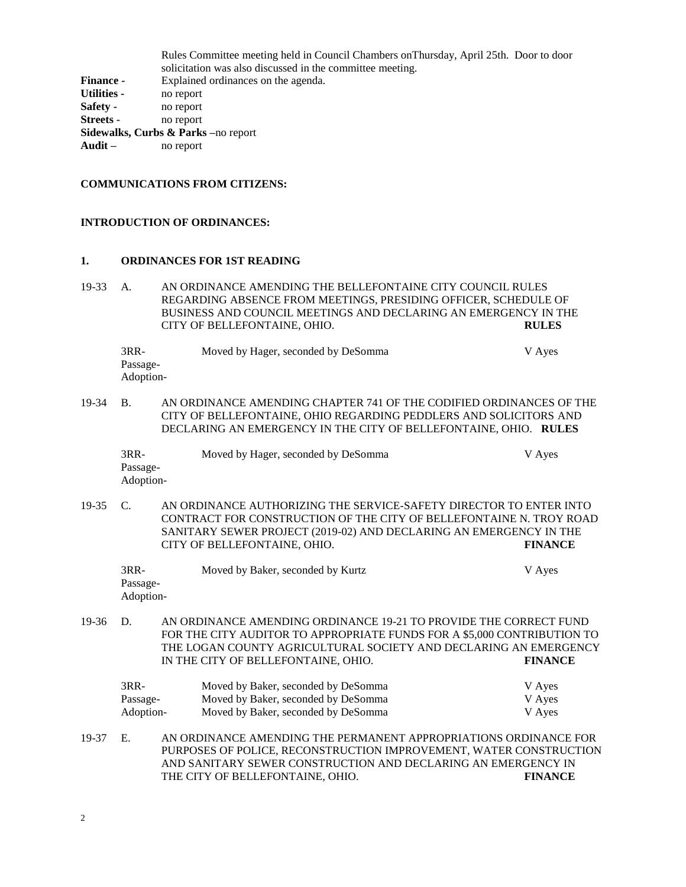Rules Committee meeting held in Council Chambers onThursday, April 25th. Door to door solicitation was also discussed in the committee meeting. **Finance -** Explained ordinances on the agenda. **Utilities -** no report **Safety -** no report **Streets -** no report **Sidewalks, Curbs & Parks –**no report **Audit –** no report

#### **COMMUNICATIONS FROM CITIZENS:**

#### **INTRODUCTION OF ORDINANCES:**

#### **1. ORDINANCES FOR 1ST READING**

19-33 A. AN ORDINANCE AMENDING THE BELLEFONTAINE CITY COUNCIL RULES REGARDING ABSENCE FROM MEETINGS, PRESIDING OFFICER, SCHEDULE OF BUSINESS AND COUNCIL MEETINGS AND DECLARING AN EMERGENCY IN THE CITY OF BELLEFONTAINE, OHIO. **RULES**

3RR- Moved by Hager, seconded by DeSomma V Ayes Passage-Adoption-

19-34 B. AN ORDINANCE AMENDING CHAPTER 741 OF THE CODIFIED ORDINANCES OF THE CITY OF BELLEFONTAINE, OHIO REGARDING PEDDLERS AND SOLICITORS AND DECLARING AN EMERGENCY IN THE CITY OF BELLEFONTAINE, OHIO. **RULES**

| 3RR-      | Moved by Hager, seconded by DeSomma | V Ayes |
|-----------|-------------------------------------|--------|
| Passage-  |                                     |        |
| Adoption- |                                     |        |

19-35 C. AN ORDINANCE AUTHORIZING THE SERVICE-SAFETY DIRECTOR TO ENTER INTO CONTRACT FOR CONSTRUCTION OF THE CITY OF BELLEFONTAINE N. TROY ROAD SANITARY SEWER PROJECT (2019-02) AND DECLARING AN EMERGENCY IN THE CITY OF BELLEFONTAINE, OHIO. **FINANCE**

3RR- Moved by Baker, seconded by Kurtz V Ayes Passage-Adoption-

19-36 D. AN ORDINANCE AMENDING ORDINANCE 19-21 TO PROVIDE THE CORRECT FUND FOR THE CITY AUDITOR TO APPROPRIATE FUNDS FOR A \$5,000 CONTRIBUTION TO THE LOGAN COUNTY AGRICULTURAL SOCIETY AND DECLARING AN EMERGENCY IN THE CITY OF BELLEFONTAINE, OHIO. **FINANCE**

| 3RR-      | Moved by Baker, seconded by DeSomma | V Ayes |
|-----------|-------------------------------------|--------|
| Passage-  | Moved by Baker, seconded by DeSomma | V Ayes |
| Adoption- | Moved by Baker, seconded by DeSomma | V Aves |

19-37 E. AN ORDINANCE AMENDING THE PERMANENT APPROPRIATIONS ORDINANCE FOR PURPOSES OF POLICE, RECONSTRUCTION IMPROVEMENT, WATER CONSTRUCTION AND SANITARY SEWER CONSTRUCTION AND DECLARING AN EMERGENCY IN THE CITY OF BELLEFONTAINE, OHIO. **FINANCE**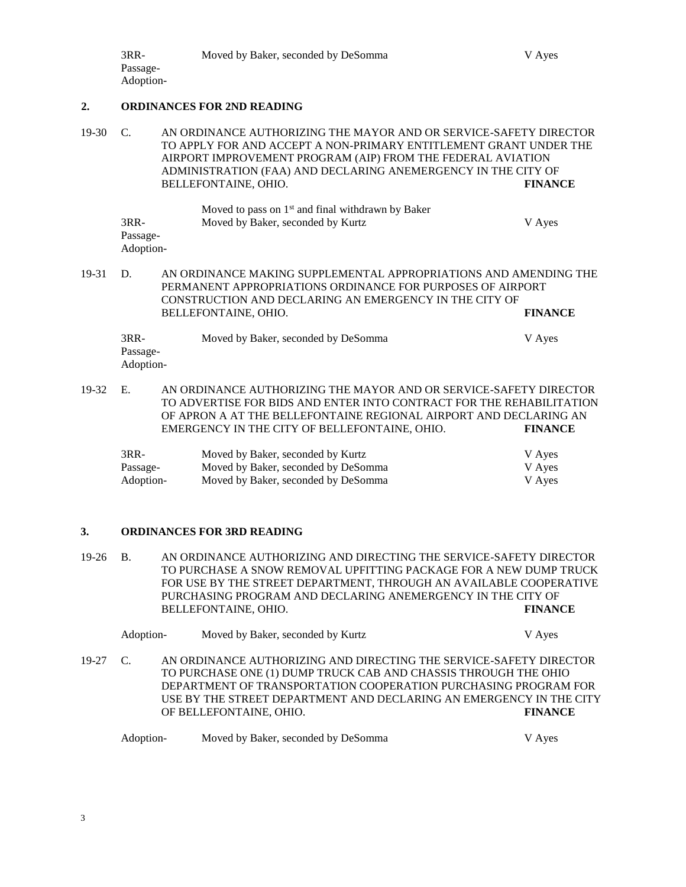### **2. ORDINANCES FOR 2ND READING**

- 19-30 C. AN ORDINANCE AUTHORIZING THE MAYOR AND OR SERVICE-SAFETY DIRECTOR TO APPLY FOR AND ACCEPT A NON-PRIMARY ENTITLEMENT GRANT UNDER THE AIRPORT IMPROVEMENT PROGRAM (AIP) FROM THE FEDERAL AVIATION ADMINISTRATION (FAA) AND DECLARING ANEMERGENCY IN THE CITY OF BELLEFONTAINE, OHIO. **FINANCE** Moved to pass on  $1<sup>st</sup>$  and final withdrawn by Baker 3RR- Moved by Baker, seconded by Kurtz V Ayes Passage-Adoption-19-31 D. AN ORDINANCE MAKING SUPPLEMENTAL APPROPRIATIONS AND AMENDING THE PERMANENT APPROPRIATIONS ORDINANCE FOR PURPOSES OF AIRPORT
- CONSTRUCTION AND DECLARING AN EMERGENCY IN THE CITY OF BELLEFONTAINE, OHIO. **FINANCE**

| $3RR-$    | Moved by Baker, seconded by DeSomma | V Ayes |
|-----------|-------------------------------------|--------|
| Passage-  |                                     |        |
| Adoption- |                                     |        |

19-32 E. AN ORDINANCE AUTHORIZING THE MAYOR AND OR SERVICE-SAFETY DIRECTOR TO ADVERTISE FOR BIDS AND ENTER INTO CONTRACT FOR THE REHABILITATION OF APRON A AT THE BELLEFONTAINE REGIONAL AIRPORT AND DECLARING AN EMERGENCY IN THE CITY OF BELLEFONTAINE, OHIO. **FINANCE**

| $3RR-$    | Moved by Baker, seconded by Kurtz   | V Aves |
|-----------|-------------------------------------|--------|
| Passage-  | Moved by Baker, seconded by DeSomma | V Ayes |
| Adoption- | Moved by Baker, seconded by DeSomma | V Aves |

## **3. ORDINANCES FOR 3RD READING**

19-26 B. AN ORDINANCE AUTHORIZING AND DIRECTING THE SERVICE-SAFETY DIRECTOR TO PURCHASE A SNOW REMOVAL UPFITTING PACKAGE FOR A NEW DUMP TRUCK FOR USE BY THE STREET DEPARTMENT, THROUGH AN AVAILABLE COOPERATIVE PURCHASING PROGRAM AND DECLARING ANEMERGENCY IN THE CITY OF BELLEFONTAINE, OHIO. **FINANCE**

|            | Adoption- |                                                                     | Moved by Baker, seconded by Kurtz |  |  | V Ayes         |  |
|------------|-----------|---------------------------------------------------------------------|-----------------------------------|--|--|----------------|--|
| $19-27$ C. |           | AN ORDINANCE AUTHORIZING AND DIRECTING THE SERVICE-SAFETY DIRECTOR  |                                   |  |  |                |  |
|            |           | TO PURCHASE ONE (1) DUMP TRUCK CAB AND CHASSIS THROUGH THE OHIO     |                                   |  |  |                |  |
|            |           | DEPARTMENT OF TRANSPORTATION COOPERATION PURCHASING PROGRAM FOR     |                                   |  |  |                |  |
|            |           | USE BY THE STREET DEPARTMENT AND DECLARING AN EMERGENCY IN THE CITY |                                   |  |  |                |  |
|            |           | OF BELLEFONTAINE, OHIO.                                             |                                   |  |  | <b>FINANCE</b> |  |

| Adoption- | Moved by Baker, seconded by DeSomma | V Aves |
|-----------|-------------------------------------|--------|
|-----------|-------------------------------------|--------|